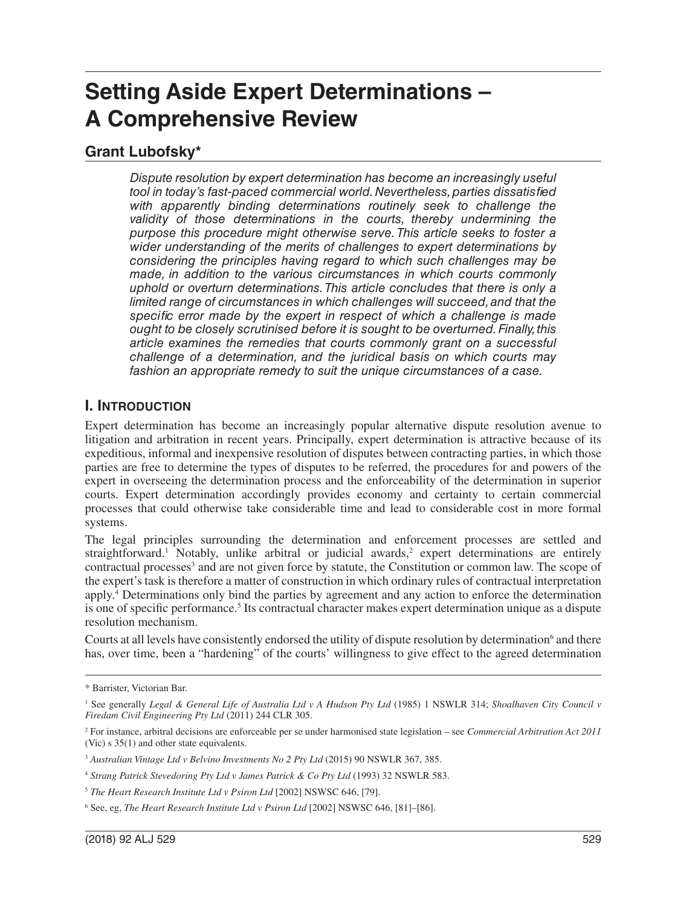# **Setting Aside Expert Determinations – A Comprehensive Review**

## **Grant Lubofsky\***

*Dispute resolution by expert determination has become an increasingly useful tool in today's fast-paced commercial world. Nevertheless, parties dissatisfied with apparently binding determinations routinely seek to challenge the validity of those determinations in the courts, thereby undermining the purpose this procedure might otherwise serve. This article seeks to foster a wider understanding of the merits of challenges to expert determinations by considering the principles having regard to which such challenges may be made, in addition to the various circumstances in which courts commonly uphold or overturn determinations. This article concludes that there is only a limited range of circumstances in which challenges will succeed, and that the specific error made by the expert in respect of which a challenge is made ought to be closely scrutinised before it is sought to be overturned. Finally, this article examines the remedies that courts commonly grant on a successful challenge of a determination, and the juridical basis on which courts may fashion an appropriate remedy to suit the unique circumstances of a case.*

#### **I. INTRODUCTION**

Expert determination has become an increasingly popular alternative dispute resolution avenue to litigation and arbitration in recent years. Principally, expert determination is attractive because of its expeditious, informal and inexpensive resolution of disputes between contracting parties, in which those parties are free to determine the types of disputes to be referred, the procedures for and powers of the expert in overseeing the determination process and the enforceability of the determination in superior courts. Expert determination accordingly provides economy and certainty to certain commercial processes that could otherwise take considerable time and lead to considerable cost in more formal systems.

The legal principles surrounding the determination and enforcement processes are settled and straightforward.<sup>1</sup> Notably, unlike arbitral or judicial awards,<sup>2</sup> expert determinations are entirely contractual processes<sup>3</sup> and are not given force by statute, the Constitution or common law. The scope of the expert's task is therefore a matter of construction in which ordinary rules of contractual interpretation apply.4 Determinations only bind the parties by agreement and any action to enforce the determination is one of specific performance.<sup>5</sup> Its contractual character makes expert determination unique as a dispute resolution mechanism.

Courts at all levels have consistently endorsed the utility of dispute resolution by determination<sup>6</sup> and there has, over time, been a "hardening" of the courts' willingness to give effect to the agreed determination

<sup>\*</sup> Barrister, Victorian Bar.

<sup>1</sup> See generally *Legal & General Life of Australia Ltd v A Hudson Pty Ltd* (1985) 1 NSWLR 314; *Shoalhaven City Council v Firedam Civil Engineering Pty Ltd* (2011) 244 CLR 305.

<sup>2</sup> For instance, arbitral decisions are enforceable per se under harmonised state legislation – see *Commercial Arbitration Act 2011* (Vic) s 35(1) and other state equivalents.

<sup>3</sup> *Australian Vintage Ltd v Belvino Investments No 2 Pty Ltd* (2015) 90 NSWLR 367, 385.

<sup>4</sup> *Strang Patrick Stevedoring Pty Ltd v James Patrick & Co Pty Ltd* (1993) 32 NSWLR 583.

<sup>5</sup> *The Heart Research Institute Ltd v Psiron Ltd* [2002] NSWSC 646, [79].

<sup>6</sup> See, eg, *The Heart Research Institute Ltd v Psiron Ltd* [2002] NSWSC 646, [81]–[86].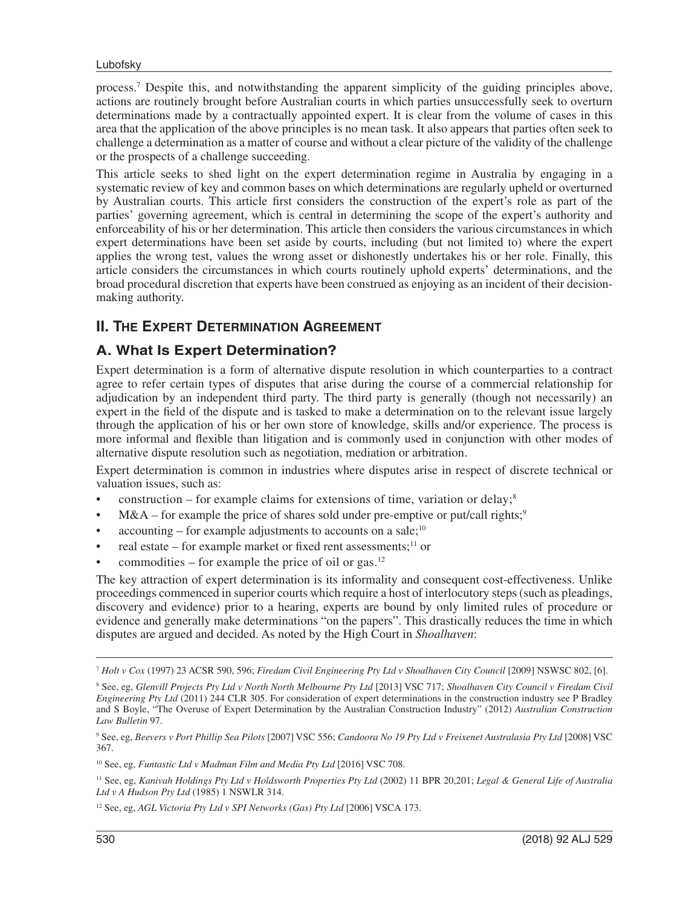process.7 Despite this, and notwithstanding the apparent simplicity of the guiding principles above, actions are routinely brought before Australian courts in which parties unsuccessfully seek to overturn determinations made by a contractually appointed expert. It is clear from the volume of cases in this area that the application of the above principles is no mean task. It also appears that parties often seek to challenge a determination as a matter of course and without a clear picture of the validity of the challenge or the prospects of a challenge succeeding.

This article seeks to shed light on the expert determination regime in Australia by engaging in a systematic review of key and common bases on which determinations are regularly upheld or overturned by Australian courts. This article first considers the construction of the expert's role as part of the parties' governing agreement, which is central in determining the scope of the expert's authority and enforceability of his or her determination. This article then considers the various circumstances in which expert determinations have been set aside by courts, including (but not limited to) where the expert applies the wrong test, values the wrong asset or dishonestly undertakes his or her role. Finally, this article considers the circumstances in which courts routinely uphold experts' determinations, and the broad procedural discretion that experts have been construed as enjoying as an incident of their decisionmaking authority.

## **II. THE EXPERT DETERMINATION AGREEMENT**

#### **A. What Is Expert Determination?**

Expert determination is a form of alternative dispute resolution in which counterparties to a contract agree to refer certain types of disputes that arise during the course of a commercial relationship for adjudication by an independent third party. The third party is generally (though not necessarily) an expert in the field of the dispute and is tasked to make a determination on to the relevant issue largely through the application of his or her own store of knowledge, skills and/or experience. The process is more informal and flexible than litigation and is commonly used in conjunction with other modes of alternative dispute resolution such as negotiation, mediation or arbitration.

Expert determination is common in industries where disputes arise in respect of discrete technical or valuation issues, such as:

- construction for example claims for extensions of time, variation or delay;<sup>8</sup>
- $M&A$  for example the price of shares sold under pre-emptive or put/call rights;<sup>9</sup>
- $accounting for example adjustments to accounts on a sale;  $10$$
- real estate for example market or fixed rent assessments; $^{11}$  or
- commodities for example the price of oil or gas.<sup>12</sup>

The key attraction of expert determination is its informality and consequent cost-effectiveness. Unlike proceedings commenced in superior courts which require a host of interlocutory steps (such as pleadings, discovery and evidence) prior to a hearing, experts are bound by only limited rules of procedure or evidence and generally make determinations "on the papers". This drastically reduces the time in which disputes are argued and decided. As noted by the High Court in *Shoalhaven*:

<sup>7</sup> *Holt v Cox* (1997) 23 ACSR 590, 596; *Firedam Civil Engineering Pty Ltd v Shoalhaven City Council* [2009] NSWSC 802, [6].

<sup>8</sup> See, eg, *Glenvill Projects Pty Ltd v North North Melbourne Pty Ltd* [2013] VSC 717; *Shoalhaven City Council v Firedam Civil Engineering Pty Ltd* (2011) 244 CLR 305. For consideration of expert determinations in the construction industry see P Bradley and S Boyle, "The Overuse of Expert Determination by the Australian Construction Industry" (2012) *Australian Construction Law Bulletin* 97.

<sup>9</sup> See, eg, *Beevers v Port Phillip Sea Pilots* [2007] VSC 556; *Candoora No 19 Pty Ltd v Freixenet Australasia Pty Ltd* [2008] VSC 367.

<sup>10</sup> See, eg, *Funtastic Ltd v Madman Film and Media Pty Ltd* [2016] VSC 708.

<sup>11</sup> See, eg, *Kanivah Holdings Pty Ltd v Holdsworth Properties Pty Ltd* (2002) 11 BPR 20,201; *Legal & General Life of Australia Ltd v A Hudson Pty Ltd* (1985) 1 NSWLR 314.

<sup>12</sup> See, eg, *AGL Victoria Pty Ltd v SPI Networks (Gas) Pty Ltd* [2006] VSCA 173.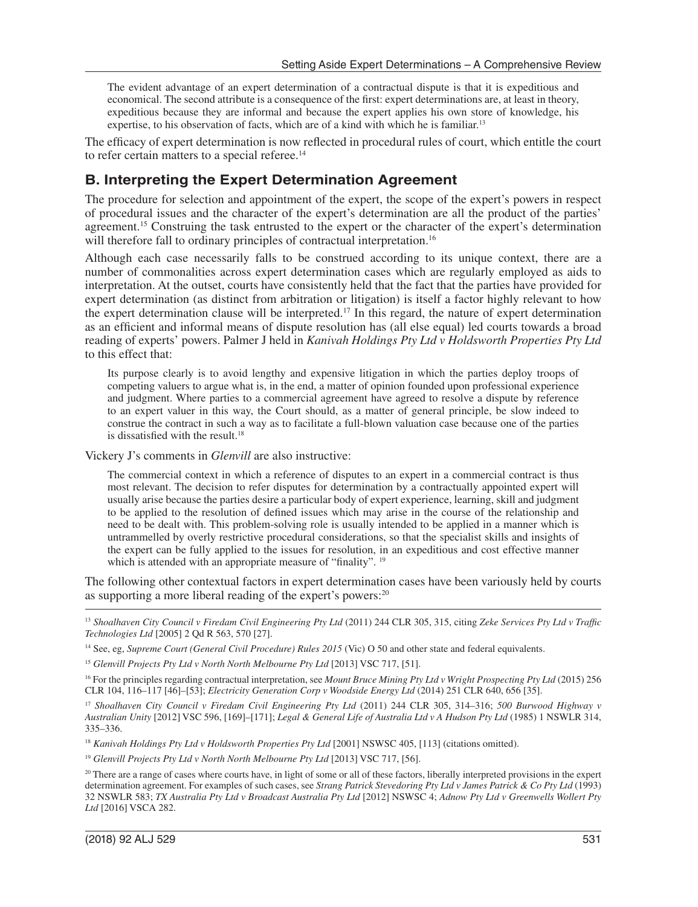The evident advantage of an expert determination of a contractual dispute is that it is expeditious and economical. The second attribute is a consequence of the first: expert determinations are, at least in theory, expeditious because they are informal and because the expert applies his own store of knowledge, his expertise, to his observation of facts, which are of a kind with which he is familiar.<sup>13</sup>

The efficacy of expert determination is now reflected in procedural rules of court, which entitle the court to refer certain matters to a special referee.<sup>14</sup>

## **B. Interpreting the Expert Determination Agreement**

The procedure for selection and appointment of the expert, the scope of the expert's powers in respect of procedural issues and the character of the expert's determination are all the product of the parties' agreement.<sup>15</sup> Construing the task entrusted to the expert or the character of the expert's determination will therefore fall to ordinary principles of contractual interpretation.<sup>16</sup>

Although each case necessarily falls to be construed according to its unique context, there are a number of commonalities across expert determination cases which are regularly employed as aids to interpretation. At the outset, courts have consistently held that the fact that the parties have provided for expert determination (as distinct from arbitration or litigation) is itself a factor highly relevant to how the expert determination clause will be interpreted.17 In this regard, the nature of expert determination as an efficient and informal means of dispute resolution has (all else equal) led courts towards a broad reading of experts' powers. Palmer J held in *Kanivah Holdings Pty Ltd v Holdsworth Properties Pty Ltd* to this effect that:

Its purpose clearly is to avoid lengthy and expensive litigation in which the parties deploy troops of competing valuers to argue what is, in the end, a matter of opinion founded upon professional experience and judgment. Where parties to a commercial agreement have agreed to resolve a dispute by reference to an expert valuer in this way, the Court should, as a matter of general principle, be slow indeed to construe the contract in such a way as to facilitate a full-blown valuation case because one of the parties is dissatisfied with the result.<sup>18</sup>

Vickery J's comments in *Glenvill* are also instructive:

The commercial context in which a reference of disputes to an expert in a commercial contract is thus most relevant. The decision to refer disputes for determination by a contractually appointed expert will usually arise because the parties desire a particular body of expert experience, learning, skill and judgment to be applied to the resolution of defined issues which may arise in the course of the relationship and need to be dealt with. This problem-solving role is usually intended to be applied in a manner which is untrammelled by overly restrictive procedural considerations, so that the specialist skills and insights of the expert can be fully applied to the issues for resolution, in an expeditious and cost effective manner which is attended with an appropriate measure of "finality". <sup>19</sup>

The following other contextual factors in expert determination cases have been variously held by courts as supporting a more liberal reading of the expert's powers:<sup>20</sup>

16 For the principles regarding contractual interpretation, see *Mount Bruce Mining Pty Ltd v Wright Prospecting Pty Ltd* (2015) 256 CLR 104, 116–117 [46]–[53]; *Electricity Generation Corp v Woodside Energy Ltd* (2014) 251 CLR 640, 656 [35].

<sup>17</sup> *Shoalhaven City Council v Firedam Civil Engineering Pty Ltd* (2011) 244 CLR 305, 314–316; *500 Burwood Highway v Australian Unity* [2012] VSC 596, [169]–[171]; *Legal & General Life of Australia Ltd v A Hudson Pty Ltd* (1985) 1 NSWLR 314, 335–336.

<sup>18</sup> *Kanivah Holdings Pty Ltd v Holdsworth Properties Pty Ltd* [2001] NSWSC 405, [113] (citations omitted).

<sup>19</sup> Glenvill Projects Pty Ltd v North North Melbourne Pty Ltd [2013] VSC 717, [56].

<sup>13</sup> *Shoalhaven City Council v Firedam Civil Engineering Pty Ltd* (2011) 244 CLR 305, 315, citing *Zeke Services Pty Ltd v Traffic Technologies Ltd* [2005] 2 Qd R 563, 570 [27].

<sup>14</sup> See, eg, *Supreme Court (General Civil Procedure) Rules 2015* (Vic) O 50 and other state and federal equivalents.

<sup>&</sup>lt;sup>15</sup> Glenvill Projects Pty Ltd v North North Melbourne Pty Ltd [2013] VSC 717, [51].

<sup>&</sup>lt;sup>20</sup> There are a range of cases where courts have, in light of some or all of these factors, liberally interpreted provisions in the expert determination agreement. For examples of such cases, see *Strang Patrick Stevedoring Pty Ltd v James Patrick & Co Pty Ltd* (1993) 32 NSWLR 583; *TX Australia Pty Ltd v Broadcast Australia Pty Ltd* [2012] NSWSC 4; *Adnow Pty Ltd v Greenwells Wollert Pty Ltd* [2016] VSCA 282.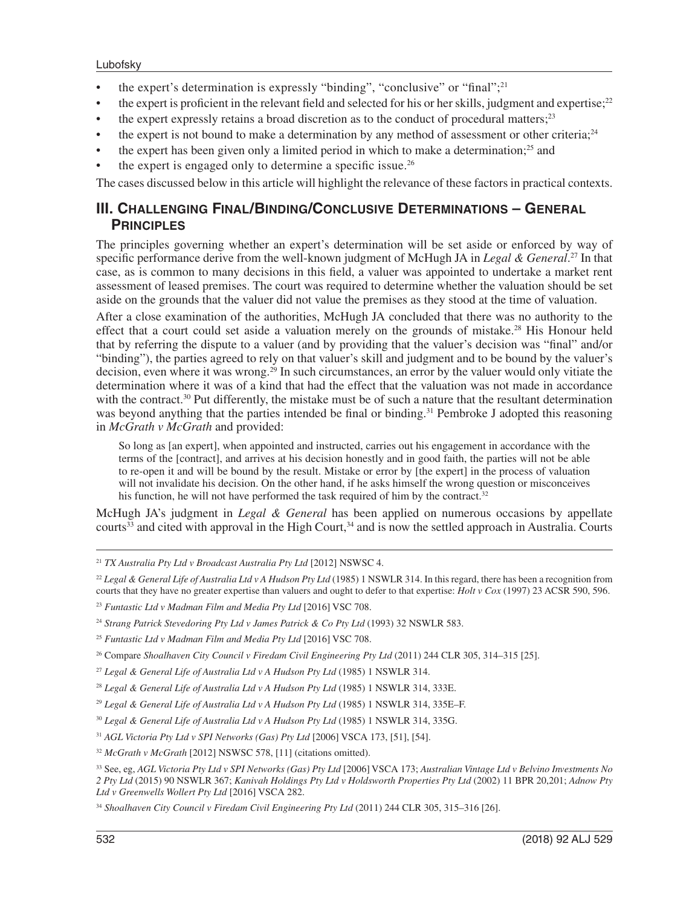- the expert's determination is expressly "binding", "conclusive" or "final";<sup>21</sup>
- the expert is proficient in the relevant field and selected for his or her skills, judgment and expertise; $2<sup>22</sup>$
- the expert expressly retains a broad discretion as to the conduct of procedural matters;<sup>23</sup>
- the expert is not bound to make a determination by any method of assessment or other criteria;<sup>24</sup>
- the expert has been given only a limited period in which to make a determination;<sup>25</sup> and
- the expert is engaged only to determine a specific issue.<sup>26</sup>

The cases discussed below in this article will highlight the relevance of these factors in practical contexts.

#### **III. CHALLENGING FINAL/BINDING/CONCLUSIVE DETERMINATIONS – GENERAL PRINCIPLES**

The principles governing whether an expert's determination will be set aside or enforced by way of specific performance derive from the well-known judgment of McHugh JA in *Legal & General*. 27 In that case, as is common to many decisions in this field, a valuer was appointed to undertake a market rent assessment of leased premises. The court was required to determine whether the valuation should be set aside on the grounds that the valuer did not value the premises as they stood at the time of valuation.

After a close examination of the authorities, McHugh JA concluded that there was no authority to the effect that a court could set aside a valuation merely on the grounds of mistake.<sup>28</sup> His Honour held that by referring the dispute to a valuer (and by providing that the valuer's decision was "final" and/or "binding"), the parties agreed to rely on that valuer's skill and judgment and to be bound by the valuer's decision, even where it was wrong.<sup>29</sup> In such circumstances, an error by the valuer would only vitiate the determination where it was of a kind that had the effect that the valuation was not made in accordance with the contract.<sup>30</sup> Put differently, the mistake must be of such a nature that the resultant determination was beyond anything that the parties intended be final or binding.<sup>31</sup> Pembroke J adopted this reasoning in *McGrath v McGrath* and provided:

So long as [an expert], when appointed and instructed, carries out his engagement in accordance with the terms of the [contract], and arrives at his decision honestly and in good faith, the parties will not be able to re-open it and will be bound by the result. Mistake or error by [the expert] in the process of valuation will not invalidate his decision. On the other hand, if he asks himself the wrong question or misconceives his function, he will not have performed the task required of him by the contract. $32$ 

McHugh JA's judgment in *Legal & General* has been applied on numerous occasions by appellate courts<sup>33</sup> and cited with approval in the High Court,<sup>34</sup> and is now the settled approach in Australia. Courts

<sup>21</sup> *TX Australia Pty Ltd v Broadcast Australia Pty Ltd* [2012] NSWSC 4.

<sup>&</sup>lt;sup>22</sup> Legal & General Life of Australia Ltd v A Hudson Pty Ltd (1985) 1 NSWLR 314. In this regard, there has been a recognition from courts that they have no greater expertise than valuers and ought to defer to that expertise: *Holt v Cox* (1997) 23 ACSR 590, 596.

<sup>23</sup> *Funtastic Ltd v Madman Film and Media Pty Ltd* [2016] VSC 708.

<sup>&</sup>lt;sup>24</sup> Strang Patrick Stevedoring Pty Ltd v James Patrick & Co Pty Ltd (1993) 32 NSWLR 583.

<sup>25</sup> *Funtastic Ltd v Madman Film and Media Pty Ltd* [2016] VSC 708.

<sup>&</sup>lt;sup>26</sup> Compare *Shoalhaven City Council v Firedam Civil Engineering Pty Ltd* (2011) 244 CLR 305, 314–315 [25].

<sup>27</sup> *Legal & General Life of Australia Ltd v A Hudson Pty Ltd* (1985) 1 NSWLR 314.

<sup>28</sup> *Legal & General Life of Australia Ltd v A Hudson Pty Ltd* (1985) 1 NSWLR 314, 333E.

<sup>29</sup> *Legal & General Life of Australia Ltd v A Hudson Pty Ltd* (1985) 1 NSWLR 314, 335E–F.

<sup>30</sup> *Legal & General Life of Australia Ltd v A Hudson Pty Ltd* (1985) 1 NSWLR 314, 335G.

<sup>31</sup> *AGL Victoria Pty Ltd v SPI Networks (Gas) Pty Ltd* [2006] VSCA 173, [51], [54].

<sup>32</sup> *McGrath v McGrath* [2012] NSWSC 578, [11] (citations omitted).

<sup>33</sup> See, eg, *AGL Victoria Pty Ltd v SPI Networks (Gas) Pty Ltd* [2006] VSCA 173; *Australian Vintage Ltd v Belvino Investments No 2 Pty Ltd* (2015) 90 NSWLR 367; *Kanivah Holdings Pty Ltd v Holdsworth Properties Pty Ltd* (2002) 11 BPR 20,201; *Adnow Pty Ltd v Greenwells Wollert Pty Ltd* [2016] VSCA 282.

<sup>34</sup> *Shoalhaven City Council v Firedam Civil Engineering Pty Ltd* (2011) 244 CLR 305, 315–316 [26].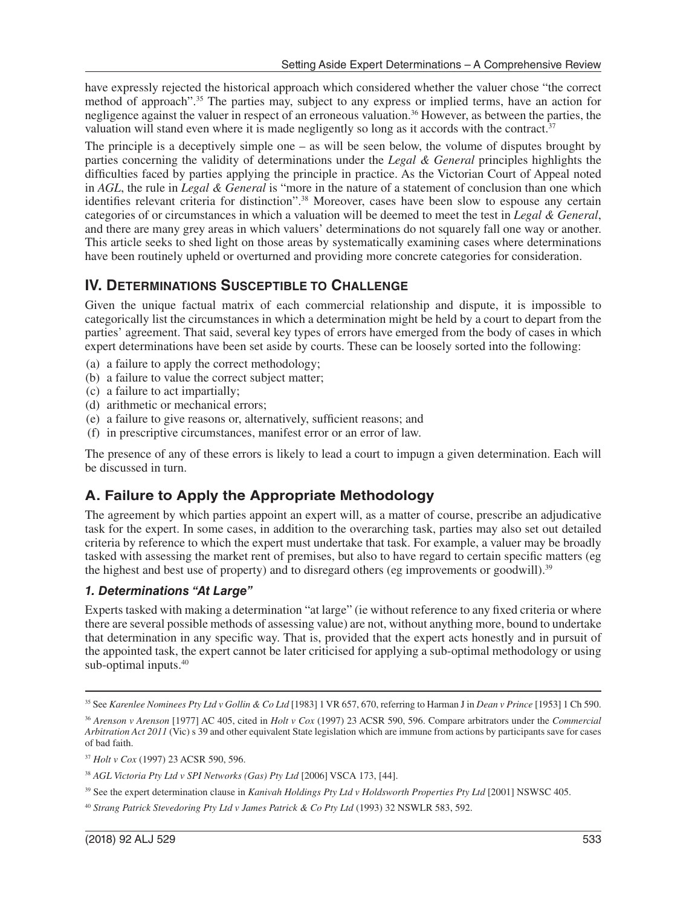have expressly rejected the historical approach which considered whether the valuer chose "the correct method of approach".35 The parties may, subject to any express or implied terms, have an action for negligence against the valuer in respect of an erroneous valuation.36 However, as between the parties, the valuation will stand even where it is made negligently so long as it accords with the contract.<sup>37</sup>

The principle is a deceptively simple one – as will be seen below, the volume of disputes brought by parties concerning the validity of determinations under the *Legal & General* principles highlights the difficulties faced by parties applying the principle in practice. As the Victorian Court of Appeal noted in *AGL*, the rule in *Legal & General* is "more in the nature of a statement of conclusion than one which identifies relevant criteria for distinction".38 Moreover, cases have been slow to espouse any certain categories of or circumstances in which a valuation will be deemed to meet the test in *Legal & General*, and there are many grey areas in which valuers' determinations do not squarely fall one way or another. This article seeks to shed light on those areas by systematically examining cases where determinations have been routinely upheld or overturned and providing more concrete categories for consideration.

#### **IV. DETERMINATIONS SUSCEPTIBLE TO CHALLENGE**

Given the unique factual matrix of each commercial relationship and dispute, it is impossible to categorically list the circumstances in which a determination might be held by a court to depart from the parties' agreement. That said, several key types of errors have emerged from the body of cases in which expert determinations have been set aside by courts. These can be loosely sorted into the following:

- (a) a failure to apply the correct methodology;
- (b) a failure to value the correct subject matter;
- (c) a failure to act impartially;
- (d) arithmetic or mechanical errors;
- (e) a failure to give reasons or, alternatively, sufficient reasons; and
- (f) in prescriptive circumstances, manifest error or an error of law.

The presence of any of these errors is likely to lead a court to impugn a given determination. Each will be discussed in turn.

# **A. Failure to Apply the Appropriate Methodology**

The agreement by which parties appoint an expert will, as a matter of course, prescribe an adjudicative task for the expert. In some cases, in addition to the overarching task, parties may also set out detailed criteria by reference to which the expert must undertake that task. For example, a valuer may be broadly tasked with assessing the market rent of premises, but also to have regard to certain specific matters (eg the highest and best use of property) and to disregard others (eg improvements or goodwill).<sup>39</sup>

#### *1. Determinations "At Large"*

Experts tasked with making a determination "at large" (ie without reference to any fixed criteria or where there are several possible methods of assessing value) are not, without anything more, bound to undertake that determination in any specific way. That is, provided that the expert acts honestly and in pursuit of the appointed task, the expert cannot be later criticised for applying a sub-optimal methodology or using sub-optimal inputs. $40$ 

<sup>35</sup> See *Karenlee Nominees Pty Ltd v Gollin & Co Ltd* [1983] 1 VR 657, 670, referring to Harman J in *Dean v Prince* [1953] 1 Ch 590.

<sup>36</sup> *Arenson v Arenson* [1977] AC 405, cited in *Holt v Cox* (1997) 23 ACSR 590, 596. Compare arbitrators under the *Commercial Arbitration Act 2011* (Vic) s 39 and other equivalent State legislation which are immune from actions by participants save for cases of bad faith.

<sup>37</sup> *Holt v Cox* (1997) 23 ACSR 590, 596.

<sup>38</sup> *AGL Victoria Pty Ltd v SPI Networks (Gas) Pty Ltd* [2006] VSCA 173, [44].

<sup>39</sup> See the expert determination clause in *Kanivah Holdings Pty Ltd v Holdsworth Properties Pty Ltd* [2001] NSWSC 405.

<sup>40</sup> *Strang Patrick Stevedoring Pty Ltd v James Patrick & Co Pty Ltd* (1993) 32 NSWLR 583, 592.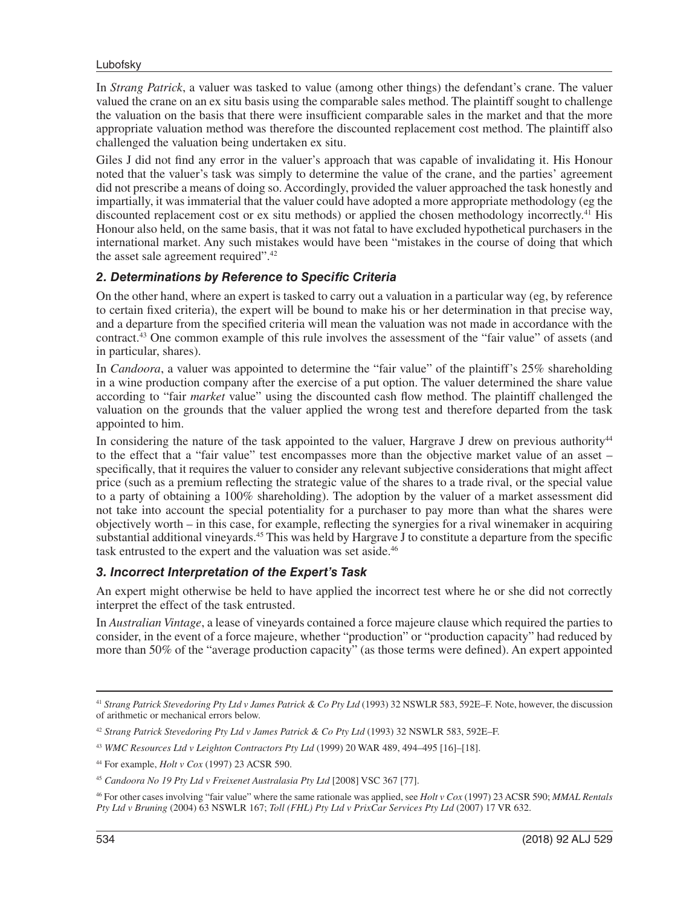#### Lubofsky

In *Strang Patrick*, a valuer was tasked to value (among other things) the defendant's crane. The valuer valued the crane on an ex situ basis using the comparable sales method. The plaintiff sought to challenge the valuation on the basis that there were insufficient comparable sales in the market and that the more appropriate valuation method was therefore the discounted replacement cost method. The plaintiff also challenged the valuation being undertaken ex situ.

Giles J did not find any error in the valuer's approach that was capable of invalidating it. His Honour noted that the valuer's task was simply to determine the value of the crane, and the parties' agreement did not prescribe a means of doing so. Accordingly, provided the valuer approached the task honestly and impartially, it was immaterial that the valuer could have adopted a more appropriate methodology (eg the discounted replacement cost or ex situ methods) or applied the chosen methodology incorrectly.<sup>41</sup> His Honour also held, on the same basis, that it was not fatal to have excluded hypothetical purchasers in the international market. Any such mistakes would have been "mistakes in the course of doing that which the asset sale agreement required".<sup>42</sup>

#### *2. Determinations by Reference to Specific Criteria*

On the other hand, where an expert is tasked to carry out a valuation in a particular way (eg, by reference to certain fixed criteria), the expert will be bound to make his or her determination in that precise way, and a departure from the specified criteria will mean the valuation was not made in accordance with the contract.43 One common example of this rule involves the assessment of the "fair value" of assets (and in particular, shares).

In *Candoora*, a valuer was appointed to determine the "fair value" of the plaintiff's 25% shareholding in a wine production company after the exercise of a put option. The valuer determined the share value according to "fair *market* value" using the discounted cash flow method. The plaintiff challenged the valuation on the grounds that the valuer applied the wrong test and therefore departed from the task appointed to him.

In considering the nature of the task appointed to the valuer, Hargrave J drew on previous authority<sup>44</sup> to the effect that a "fair value" test encompasses more than the objective market value of an asset – specifically, that it requires the valuer to consider any relevant subjective considerations that might affect price (such as a premium reflecting the strategic value of the shares to a trade rival, or the special value to a party of obtaining a 100% shareholding). The adoption by the valuer of a market assessment did not take into account the special potentiality for a purchaser to pay more than what the shares were objectively worth – in this case, for example, reflecting the synergies for a rival winemaker in acquiring substantial additional vineyards.45 This was held by Hargrave J to constitute a departure from the specific task entrusted to the expert and the valuation was set aside.<sup>46</sup>

#### *3. Incorrect Interpretation of the Expert's Task*

An expert might otherwise be held to have applied the incorrect test where he or she did not correctly interpret the effect of the task entrusted.

In *Australian Vintage*, a lease of vineyards contained a force majeure clause which required the parties to consider, in the event of a force majeure, whether "production" or "production capacity" had reduced by more than 50% of the "average production capacity" (as those terms were defined). An expert appointed

<sup>41</sup> *Strang Patrick Stevedoring Pty Ltd v James Patrick & Co Pty Ltd* (1993) 32 NSWLR 583, 592E–F. Note, however, the discussion of arithmetic or mechanical errors below.

<sup>42</sup> *Strang Patrick Stevedoring Pty Ltd v James Patrick & Co Pty Ltd* (1993) 32 NSWLR 583, 592E–F.

<sup>43</sup> *WMC Resources Ltd v Leighton Contractors Pty Ltd* (1999) 20 WAR 489, 494–495 [16]–[18].

<sup>44</sup> For example, *Holt v Cox* (1997) 23 ACSR 590.

<sup>45</sup> *Candoora No 19 Pty Ltd v Freixenet Australasia Pty Ltd* [2008] VSC 367 [77].

<sup>46</sup> For other cases involving "fair value" where the same rationale was applied, see *Holt v Cox* (1997) 23 ACSR 590; *MMAL Rentals Pty Ltd v Bruning* (2004) 63 NSWLR 167; *Toll (FHL) Pty Ltd v PrixCar Services Pty Ltd* (2007) 17 VR 632.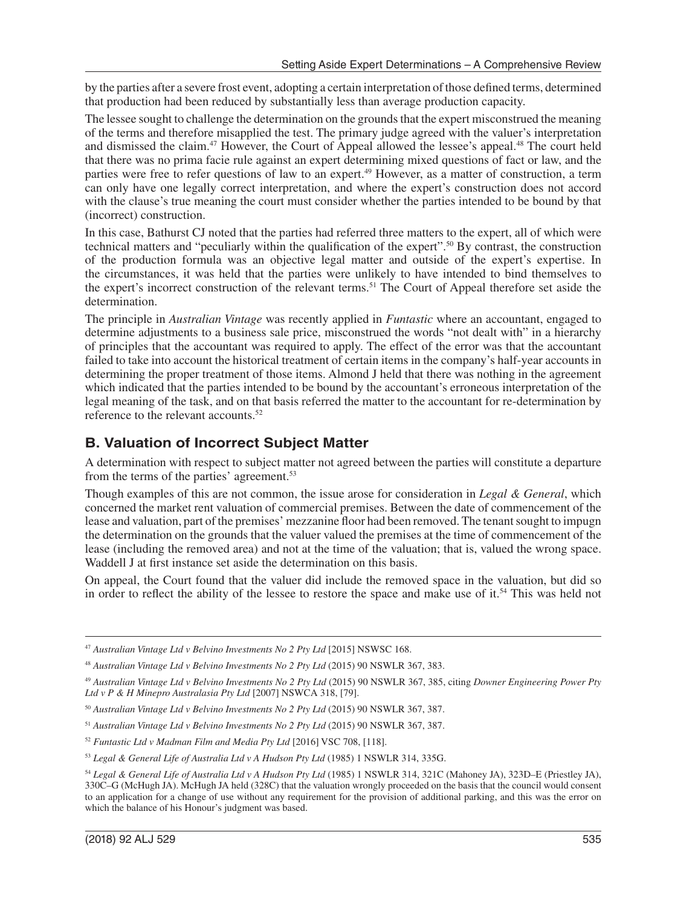by the parties after a severe frost event, adopting a certain interpretation of those defined terms, determined that production had been reduced by substantially less than average production capacity.

The lessee sought to challenge the determination on the grounds that the expert misconstrued the meaning of the terms and therefore misapplied the test. The primary judge agreed with the valuer's interpretation and dismissed the claim.<sup>47</sup> However, the Court of Appeal allowed the lessee's appeal.<sup>48</sup> The court held that there was no prima facie rule against an expert determining mixed questions of fact or law, and the parties were free to refer questions of law to an expert.49 However, as a matter of construction, a term can only have one legally correct interpretation, and where the expert's construction does not accord with the clause's true meaning the court must consider whether the parties intended to be bound by that (incorrect) construction.

In this case, Bathurst CJ noted that the parties had referred three matters to the expert, all of which were technical matters and "peculiarly within the qualification of the expert".50 By contrast, the construction of the production formula was an objective legal matter and outside of the expert's expertise. In the circumstances, it was held that the parties were unlikely to have intended to bind themselves to the expert's incorrect construction of the relevant terms.51 The Court of Appeal therefore set aside the determination.

The principle in *Australian Vintage* was recently applied in *Funtastic* where an accountant, engaged to determine adjustments to a business sale price, misconstrued the words "not dealt with" in a hierarchy of principles that the accountant was required to apply. The effect of the error was that the accountant failed to take into account the historical treatment of certain items in the company's half-year accounts in determining the proper treatment of those items. Almond J held that there was nothing in the agreement which indicated that the parties intended to be bound by the accountant's erroneous interpretation of the legal meaning of the task, and on that basis referred the matter to the accountant for re-determination by reference to the relevant accounts.<sup>52</sup>

## **B. Valuation of Incorrect Subject Matter**

A determination with respect to subject matter not agreed between the parties will constitute a departure from the terms of the parties' agreement.<sup>53</sup>

Though examples of this are not common, the issue arose for consideration in *Legal & General*, which concerned the market rent valuation of commercial premises. Between the date of commencement of the lease and valuation, part of the premises' mezzanine floor had been removed. The tenant sought to impugn the determination on the grounds that the valuer valued the premises at the time of commencement of the lease (including the removed area) and not at the time of the valuation; that is, valued the wrong space. Waddell J at first instance set aside the determination on this basis.

On appeal, the Court found that the valuer did include the removed space in the valuation, but did so in order to reflect the ability of the lessee to restore the space and make use of it.<sup>54</sup> This was held not

<sup>47</sup> *Australian Vintage Ltd v Belvino Investments No 2 Pty Ltd* [2015] NSWSC 168.

<sup>48</sup> *Australian Vintage Ltd v Belvino Investments No 2 Pty Ltd* (2015) 90 NSWLR 367, 383.

<sup>49</sup> *Australian Vintage Ltd v Belvino Investments No 2 Pty Ltd* (2015) 90 NSWLR 367, 385, citing *Downer Engineering Power Pty Ltd v P & H Minepro Australasia Pty Ltd* [2007] NSWCA 318, [79].

<sup>50</sup> *Australian Vintage Ltd v Belvino Investments No 2 Pty Ltd* (2015) 90 NSWLR 367, 387.

<sup>51</sup> *Australian Vintage Ltd v Belvino Investments No 2 Pty Ltd* (2015) 90 NSWLR 367, 387.

<sup>52</sup> *Funtastic Ltd v Madman Film and Media Pty Ltd* [2016] VSC 708, [118].

<sup>53</sup> *Legal & General Life of Australia Ltd v A Hudson Pty Ltd* (1985) 1 NSWLR 314, 335G.

<sup>54</sup> *Legal & General Life of Australia Ltd v A Hudson Pty Ltd* (1985) 1 NSWLR 314, 321C (Mahoney JA), 323D–E (Priestley JA), 330C–G (McHugh JA). McHugh JA held (328C) that the valuation wrongly proceeded on the basis that the council would consent to an application for a change of use without any requirement for the provision of additional parking, and this was the error on which the balance of his Honour's judgment was based.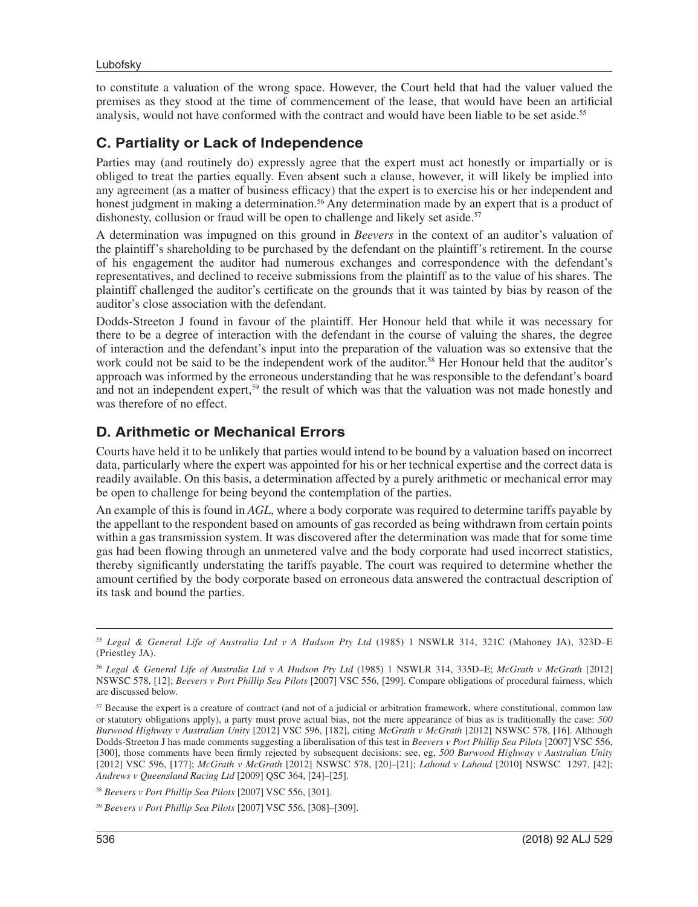to constitute a valuation of the wrong space. However, the Court held that had the valuer valued the premises as they stood at the time of commencement of the lease, that would have been an artificial analysis, would not have conformed with the contract and would have been liable to be set aside.55

## **C. Partiality or Lack of Independence**

Parties may (and routinely do) expressly agree that the expert must act honestly or impartially or is obliged to treat the parties equally. Even absent such a clause, however, it will likely be implied into any agreement (as a matter of business efficacy) that the expert is to exercise his or her independent and honest judgment in making a determination.<sup>56</sup> Any determination made by an expert that is a product of dishonesty, collusion or fraud will be open to challenge and likely set aside.<sup>57</sup>

A determination was impugned on this ground in *Beevers* in the context of an auditor's valuation of the plaintiff's shareholding to be purchased by the defendant on the plaintiff's retirement. In the course of his engagement the auditor had numerous exchanges and correspondence with the defendant's representatives, and declined to receive submissions from the plaintiff as to the value of his shares. The plaintiff challenged the auditor's certificate on the grounds that it was tainted by bias by reason of the auditor's close association with the defendant.

Dodds-Streeton J found in favour of the plaintiff. Her Honour held that while it was necessary for there to be a degree of interaction with the defendant in the course of valuing the shares, the degree of interaction and the defendant's input into the preparation of the valuation was so extensive that the work could not be said to be the independent work of the auditor.<sup>58</sup> Her Honour held that the auditor's approach was informed by the erroneous understanding that he was responsible to the defendant's board and not an independent expert,<sup>59</sup> the result of which was that the valuation was not made honestly and was therefore of no effect.

## **D. Arithmetic or Mechanical Errors**

Courts have held it to be unlikely that parties would intend to be bound by a valuation based on incorrect data, particularly where the expert was appointed for his or her technical expertise and the correct data is readily available. On this basis, a determination affected by a purely arithmetic or mechanical error may be open to challenge for being beyond the contemplation of the parties.

An example of this is found in *AGL*, where a body corporate was required to determine tariffs payable by the appellant to the respondent based on amounts of gas recorded as being withdrawn from certain points within a gas transmission system. It was discovered after the determination was made that for some time gas had been flowing through an unmetered valve and the body corporate had used incorrect statistics, thereby significantly understating the tariffs payable. The court was required to determine whether the amount certified by the body corporate based on erroneous data answered the contractual description of its task and bound the parties.

<sup>55</sup> *Legal & General Life of Australia Ltd v A Hudson Pty Ltd* (1985) 1 NSWLR 314, 321C (Mahoney JA), 323D–E (Priestley JA).

<sup>56</sup> *Legal & General Life of Australia Ltd v A Hudson Pty Ltd* (1985) 1 NSWLR 314, 335D–E; *McGrath v McGrath* [2012] NSWSC 578, [12]; *Beevers v Port Phillip Sea Pilots* [2007] VSC 556, [299]. Compare obligations of procedural fairness, which are discussed below.

<sup>&</sup>lt;sup>57</sup> Because the expert is a creature of contract (and not of a judicial or arbitration framework, where constitutional, common law or statutory obligations apply), a party must prove actual bias, not the mere appearance of bias as is traditionally the case: *500 Burwood Highway v Australian Unity* [2012] VSC 596, [182], citing *McGrath v McGrath* [2012] NSWSC 578, [16]. Although Dodds-Streeton J has made comments suggesting a liberalisation of this test in *Beevers v Port Phillip Sea Pilots* [2007] VSC 556, [300], those comments have been firmly rejected by subsequent decisions: see, eg, *500 Burwood Highway v Australian Unity* [2012] VSC 596, [177]; *McGrath v McGrath* [2012] NSWSC 578, [20]–[21]; *Lahoud v Lahoud* [2010] NSWSC 1297, [42]; *Andrews v Queensland Racing Ltd* [2009] QSC 364, [24]–[25].

<sup>58</sup> *Beevers v Port Phillip Sea Pilots* [2007] VSC 556, [301].

<sup>59</sup> *Beevers v Port Phillip Sea Pilots* [2007] VSC 556, [308]–[309].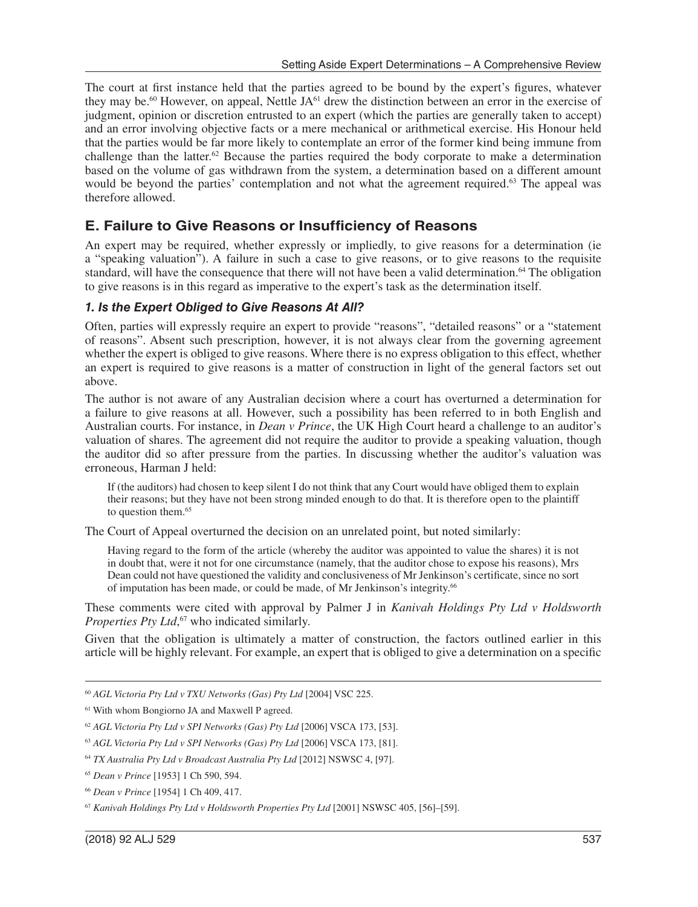The court at first instance held that the parties agreed to be bound by the expert's figures, whatever they may be.<sup>60</sup> However, on appeal, Nettle JA<sup>61</sup> drew the distinction between an error in the exercise of judgment, opinion or discretion entrusted to an expert (which the parties are generally taken to accept) and an error involving objective facts or a mere mechanical or arithmetical exercise. His Honour held that the parties would be far more likely to contemplate an error of the former kind being immune from challenge than the latter. $62$  Because the parties required the body corporate to make a determination based on the volume of gas withdrawn from the system, a determination based on a different amount would be beyond the parties' contemplation and not what the agreement required.<sup>63</sup> The appeal was therefore allowed.

#### **E. Failure to Give Reasons or Insufficiency of Reasons**

An expert may be required, whether expressly or impliedly, to give reasons for a determination (ie a "speaking valuation"). A failure in such a case to give reasons, or to give reasons to the requisite standard, will have the consequence that there will not have been a valid determination.<sup>64</sup> The obligation to give reasons is in this regard as imperative to the expert's task as the determination itself.

#### *1. Is the Expert Obliged to Give Reasons At All?*

Often, parties will expressly require an expert to provide "reasons", "detailed reasons" or a "statement of reasons". Absent such prescription, however, it is not always clear from the governing agreement whether the expert is obliged to give reasons. Where there is no express obligation to this effect, whether an expert is required to give reasons is a matter of construction in light of the general factors set out above.

The author is not aware of any Australian decision where a court has overturned a determination for a failure to give reasons at all. However, such a possibility has been referred to in both English and Australian courts. For instance, in *Dean v Prince*, the UK High Court heard a challenge to an auditor's valuation of shares. The agreement did not require the auditor to provide a speaking valuation, though the auditor did so after pressure from the parties. In discussing whether the auditor's valuation was erroneous, Harman J held:

If (the auditors) had chosen to keep silent I do not think that any Court would have obliged them to explain their reasons; but they have not been strong minded enough to do that. It is therefore open to the plaintiff to question them.<sup>65</sup>

The Court of Appeal overturned the decision on an unrelated point, but noted similarly:

Having regard to the form of the article (whereby the auditor was appointed to value the shares) it is not in doubt that, were it not for one circumstance (namely, that the auditor chose to expose his reasons), Mrs Dean could not have questioned the validity and conclusiveness of Mr Jenkinson's certificate, since no sort of imputation has been made, or could be made, of Mr Jenkinson's integrity.66

These comments were cited with approval by Palmer J in *Kanivah Holdings Pty Ltd v Holdsworth Properties Pty Ltd*, 67 who indicated similarly.

Given that the obligation is ultimately a matter of construction, the factors outlined earlier in this article will be highly relevant. For example, an expert that is obliged to give a determination on a specific

<sup>60</sup> *AGL Victoria Pty Ltd v TXU Networks (Gas) Pty Ltd* [2004] VSC 225.

<sup>61</sup> With whom Bongiorno JA and Maxwell P agreed.

<sup>62</sup> *AGL Victoria Pty Ltd v SPI Networks (Gas) Pty Ltd* [2006] VSCA 173, [53].

<sup>63</sup> *AGL Victoria Pty Ltd v SPI Networks (Gas) Pty Ltd* [2006] VSCA 173, [81].

<sup>64</sup> *TX Australia Pty Ltd v Broadcast Australia Pty Ltd* [2012] NSWSC 4, [97].

<sup>65</sup> *Dean v Prince* [1953] 1 Ch 590, 594.

<sup>66</sup> *Dean v Prince* [1954] 1 Ch 409, 417.

<sup>67</sup> *Kanivah Holdings Pty Ltd v Holdsworth Properties Pty Ltd* [2001] NSWSC 405, [56]–[59].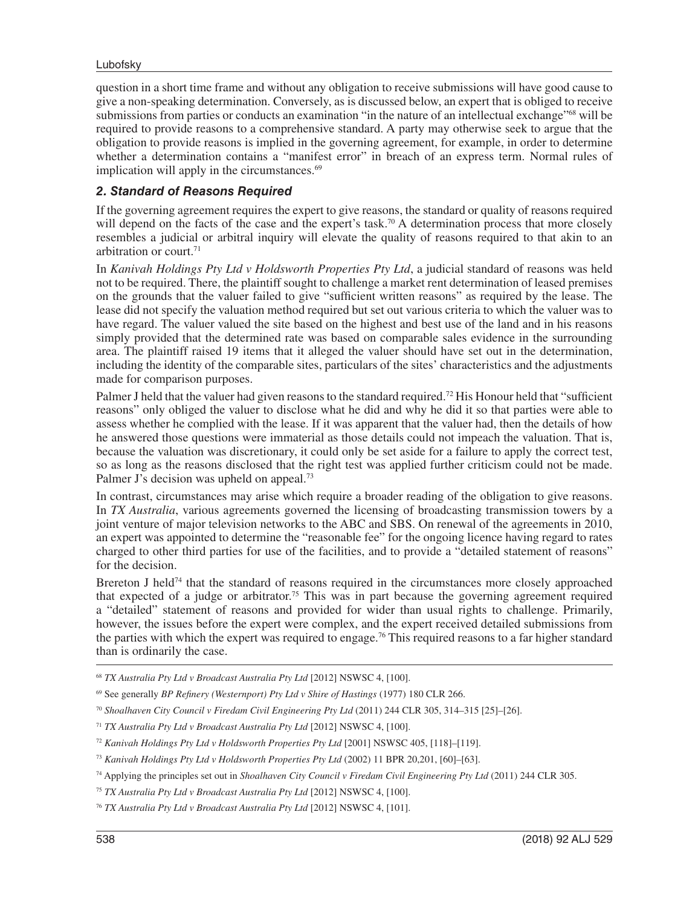#### Lubofsky

question in a short time frame and without any obligation to receive submissions will have good cause to give a non-speaking determination. Conversely, as is discussed below, an expert that is obliged to receive submissions from parties or conducts an examination "in the nature of an intellectual exchange"<sup>68</sup> will be required to provide reasons to a comprehensive standard. A party may otherwise seek to argue that the obligation to provide reasons is implied in the governing agreement, for example, in order to determine whether a determination contains a "manifest error" in breach of an express term. Normal rules of implication will apply in the circumstances.<sup>69</sup>

#### *2. Standard of Reasons Required*

If the governing agreement requires the expert to give reasons, the standard or quality of reasons required will depend on the facts of the case and the expert's task.<sup>70</sup> A determination process that more closely resembles a judicial or arbitral inquiry will elevate the quality of reasons required to that akin to an arbitration or court.71

In *Kanivah Holdings Pty Ltd v Holdsworth Properties Pty Ltd*, a judicial standard of reasons was held not to be required. There, the plaintiff sought to challenge a market rent determination of leased premises on the grounds that the valuer failed to give "sufficient written reasons" as required by the lease. The lease did not specify the valuation method required but set out various criteria to which the valuer was to have regard. The valuer valued the site based on the highest and best use of the land and in his reasons simply provided that the determined rate was based on comparable sales evidence in the surrounding area. The plaintiff raised 19 items that it alleged the valuer should have set out in the determination, including the identity of the comparable sites, particulars of the sites' characteristics and the adjustments made for comparison purposes.

Palmer J held that the valuer had given reasons to the standard required.<sup>72</sup> His Honour held that "sufficient" reasons" only obliged the valuer to disclose what he did and why he did it so that parties were able to assess whether he complied with the lease. If it was apparent that the valuer had, then the details of how he answered those questions were immaterial as those details could not impeach the valuation. That is, because the valuation was discretionary, it could only be set aside for a failure to apply the correct test, so as long as the reasons disclosed that the right test was applied further criticism could not be made. Palmer J's decision was upheld on appeal.<sup>73</sup>

In contrast, circumstances may arise which require a broader reading of the obligation to give reasons. In *TX Australia*, various agreements governed the licensing of broadcasting transmission towers by a joint venture of major television networks to the ABC and SBS. On renewal of the agreements in 2010, an expert was appointed to determine the "reasonable fee" for the ongoing licence having regard to rates charged to other third parties for use of the facilities, and to provide a "detailed statement of reasons" for the decision.

Brereton J held<sup>74</sup> that the standard of reasons required in the circumstances more closely approached that expected of a judge or arbitrator.<sup>75</sup> This was in part because the governing agreement required a "detailed" statement of reasons and provided for wider than usual rights to challenge. Primarily, however, the issues before the expert were complex, and the expert received detailed submissions from the parties with which the expert was required to engage.76 This required reasons to a far higher standard than is ordinarily the case.

- <sup>68</sup> *TX Australia Pty Ltd v Broadcast Australia Pty Ltd* [2012] NSWSC 4, [100].
- 69 See generally *BP Refinery (Westernport) Pty Ltd v Shire of Hastings* (1977) 180 CLR 266.
- <sup>70</sup> *Shoalhaven City Council v Firedam Civil Engineering Pty Ltd* (2011) 244 CLR 305, 314–315 [25]–[26].
- <sup>71</sup> *TX Australia Pty Ltd v Broadcast Australia Pty Ltd* [2012] NSWSC 4, [100].
- <sup>72</sup> *Kanivah Holdings Pty Ltd v Holdsworth Properties Pty Ltd* [2001] NSWSC 405, [118]–[119].
- <sup>73</sup> *Kanivah Holdings Pty Ltd v Holdsworth Properties Pty Ltd* (2002) 11 BPR 20,201, [60]–[63].
- 74 Applying the principles set out in *Shoalhaven City Council v Firedam Civil Engineering Pty Ltd* (2011) 244 CLR 305.
- <sup>75</sup> *TX Australia Pty Ltd v Broadcast Australia Pty Ltd* [2012] NSWSC 4, [100].
- <sup>76</sup> *TX Australia Pty Ltd v Broadcast Australia Pty Ltd* [2012] NSWSC 4, [101].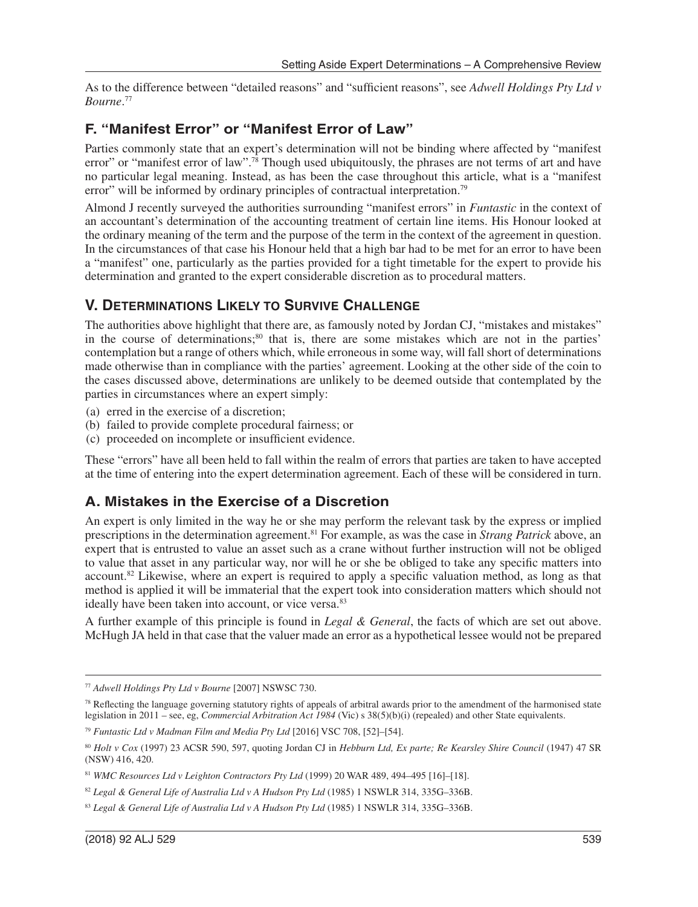As to the difference between "detailed reasons" and "sufficient reasons", see *Adwell Holdings Pty Ltd v Bourne*. 77

#### **F. "Manifest Error" or "Manifest Error of Law"**

Parties commonly state that an expert's determination will not be binding where affected by "manifest error" or "manifest error of law".<sup>78</sup> Though used ubiquitously, the phrases are not terms of art and have no particular legal meaning. Instead, as has been the case throughout this article, what is a "manifest error" will be informed by ordinary principles of contractual interpretation.<sup>79</sup>

Almond J recently surveyed the authorities surrounding "manifest errors" in *Funtastic* in the context of an accountant's determination of the accounting treatment of certain line items. His Honour looked at the ordinary meaning of the term and the purpose of the term in the context of the agreement in question. In the circumstances of that case his Honour held that a high bar had to be met for an error to have been a "manifest" one, particularly as the parties provided for a tight timetable for the expert to provide his determination and granted to the expert considerable discretion as to procedural matters.

#### **V. DETERMINATIONS LIKELY TO SURVIVE CHALLENGE**

The authorities above highlight that there are, as famously noted by Jordan CJ, "mistakes and mistakes" in the course of determinations;<sup>80</sup> that is, there are some mistakes which are not in the parties' contemplation but a range of others which, while erroneous in some way, will fall short of determinations made otherwise than in compliance with the parties' agreement. Looking at the other side of the coin to the cases discussed above, determinations are unlikely to be deemed outside that contemplated by the parties in circumstances where an expert simply:

- (a) erred in the exercise of a discretion;
- (b) failed to provide complete procedural fairness; or
- (c) proceeded on incomplete or insufficient evidence.

These "errors" have all been held to fall within the realm of errors that parties are taken to have accepted at the time of entering into the expert determination agreement. Each of these will be considered in turn.

## **A. Mistakes in the Exercise of a Discretion**

An expert is only limited in the way he or she may perform the relevant task by the express or implied prescriptions in the determination agreement.81 For example, as was the case in *Strang Patrick* above, an expert that is entrusted to value an asset such as a crane without further instruction will not be obliged to value that asset in any particular way, nor will he or she be obliged to take any specific matters into account.82 Likewise, where an expert is required to apply a specific valuation method, as long as that method is applied it will be immaterial that the expert took into consideration matters which should not ideally have been taken into account, or vice versa.<sup>83</sup>

A further example of this principle is found in *Legal & General*, the facts of which are set out above. McHugh JA held in that case that the valuer made an error as a hypothetical lessee would not be prepared

<sup>77</sup> *Adwell Holdings Pty Ltd v Bourne* [2007] NSWSC 730.

 $78$  Reflecting the language governing statutory rights of appeals of arbitral awards prior to the amendment of the harmonised state legislation in 2011 – see, eg, *Commercial Arbitration Act 1984* (Vic) s 38(5)(b)(i) (repealed) and other State equivalents.

<sup>79</sup> *Funtastic Ltd v Madman Film and Media Pty Ltd* [2016] VSC 708, [52]–[54].

<sup>80</sup> *Holt v Cox* (1997) 23 ACSR 590, 597, quoting Jordan CJ in *Hebburn Ltd, Ex parte; Re Kearsley Shire Council* (1947) 47 SR (NSW) 416, 420.

<sup>81</sup> *WMC Resources Ltd v Leighton Contractors Pty Ltd* (1999) 20 WAR 489, 494–495 [16]–[18].

<sup>82</sup> *Legal & General Life of Australia Ltd v A Hudson Pty Ltd* (1985) 1 NSWLR 314, 335G–336B.

<sup>83</sup> *Legal & General Life of Australia Ltd v A Hudson Pty Ltd* (1985) 1 NSWLR 314, 335G–336B.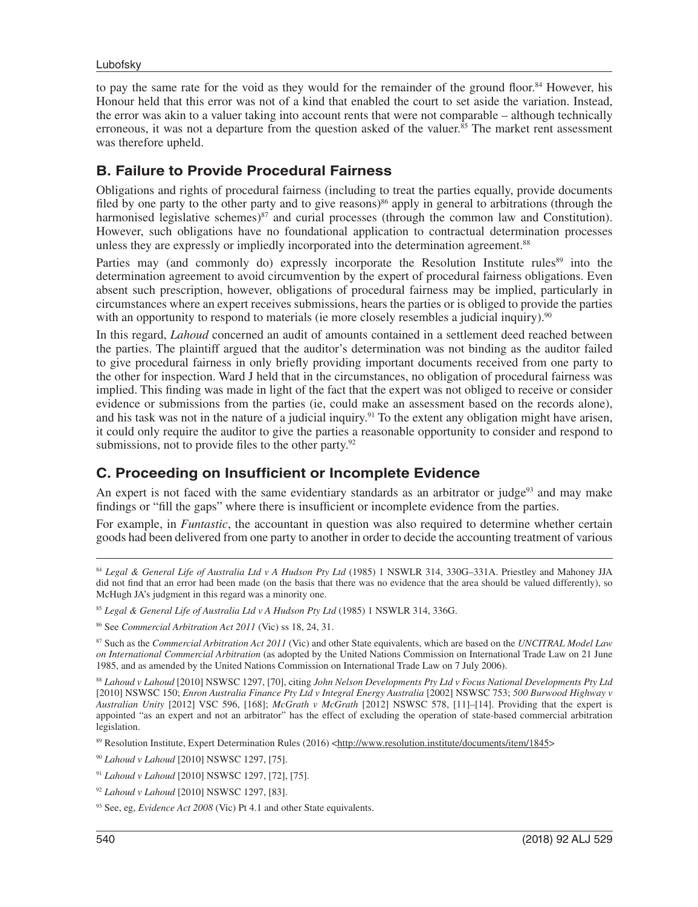to pay the same rate for the void as they would for the remainder of the ground floor.<sup>84</sup> However, his Honour held that this error was not of a kind that enabled the court to set aside the variation. Instead, the error was akin to a valuer taking into account rents that were not comparable – although technically erroneous, it was not a departure from the question asked of the valuer. $85$  The market rent assessment was therefore upheld.

#### **B. Failure to Provide Procedural Fairness**

Obligations and rights of procedural fairness (including to treat the parties equally, provide documents filed by one party to the other party and to give reasons) $86$  apply in general to arbitrations (through the harmonised legislative schemes)<sup>87</sup> and curial processes (through the common law and Constitution). However, such obligations have no foundational application to contractual determination processes unless they are expressly or impliedly incorporated into the determination agreement.<sup>88</sup>

Parties may (and commonly do) expressly incorporate the Resolution Institute rules<sup>89</sup> into the determination agreement to avoid circumvention by the expert of procedural fairness obligations. Even absent such prescription, however, obligations of procedural fairness may be implied, particularly in circumstances where an expert receives submissions, hears the parties or is obliged to provide the parties with an opportunity to respond to materials (ie more closely resembles a judicial inquiry).<sup>90</sup>

In this regard, *Lahoud* concerned an audit of amounts contained in a settlement deed reached between the parties. The plaintiff argued that the auditor's determination was not binding as the auditor failed to give procedural fairness in only briefly providing important documents received from one party to the other for inspection. Ward J held that in the circumstances, no obligation of procedural fairness was implied. This finding was made in light of the fact that the expert was not obliged to receive or consider evidence or submissions from the parties (ie, could make an assessment based on the records alone), and his task was not in the nature of a judicial inquiry.<sup>91</sup> To the extent any obligation might have arisen, it could only require the auditor to give the parties a reasonable opportunity to consider and respond to submissions, not to provide files to the other party.<sup>92</sup>

#### **C. Proceeding on Insufficient or Incomplete Evidence**

An expert is not faced with the same evidentiary standards as an arbitrator or judge<sup>93</sup> and may make findings or "fill the gaps" where there is insufficient or incomplete evidence from the parties.

For example, in *Funtastic*, the accountant in question was also required to determine whether certain goods had been delivered from one party to another in order to decide the accounting treatment of various

<sup>84</sup> *Legal & General Life of Australia Ltd v A Hudson Pty Ltd* (1985) 1 NSWLR 314, 330G–331A. Priestley and Mahoney JJA did not find that an error had been made (on the basis that there was no evidence that the area should be valued differently), so McHugh JA's judgment in this regard was a minority one.

<sup>85</sup> *Legal & General Life of Australia Ltd v A Hudson Pty Ltd* (1985) 1 NSWLR 314, 336G.

<sup>86</sup> See *Commercial Arbitration Act 2011* (Vic) ss 18, 24, 31.

<sup>87</sup> Such as the *Commercial Arbitration Act 2011* (Vic) and other State equivalents, which are based on the *UNCITRAL Model Law on International Commercial Arbitration* (as adopted by the United Nations Commission on International Trade Law on 21 June 1985, and as amended by the United Nations Commission on International Trade Law on 7 July 2006).

<sup>88</sup> *Lahoud v Lahoud* [2010] NSWSC 1297, [70], citing *John Nelson Developments Pty Ltd v Focus National Developments Pty Ltd* [2010] NSWSC 150; *Enron Australia Finance Pty Ltd v Integral Energy Australia* [2002] NSWSC 753; *500 Burwood Highway v Australian Unity* [2012] VSC 596, [168]; *McGrath v McGrath* [2012] NSWSC 578, [11]–[14]. Providing that the expert is appointed "as an expert and not an arbitrator" has the effect of excluding the operation of state-based commercial arbitration legislation.

<sup>89</sup> Resolution Institute, Expert Determination Rules (2016) [<http://www.resolution.institute/documents/item/1845](http://www.resolution.institute/documents/item/1845)>

<sup>90</sup> *Lahoud v Lahoud* [2010] NSWSC 1297, [75].

<sup>91</sup> *Lahoud v Lahoud* [2010] NSWSC 1297, [72], [75].

<sup>92</sup> *Lahoud v Lahoud* [2010] NSWSC 1297, [83].

<sup>93</sup> See, eg, *Evidence Act 2008* (Vic) Pt 4.1 and other State equivalents.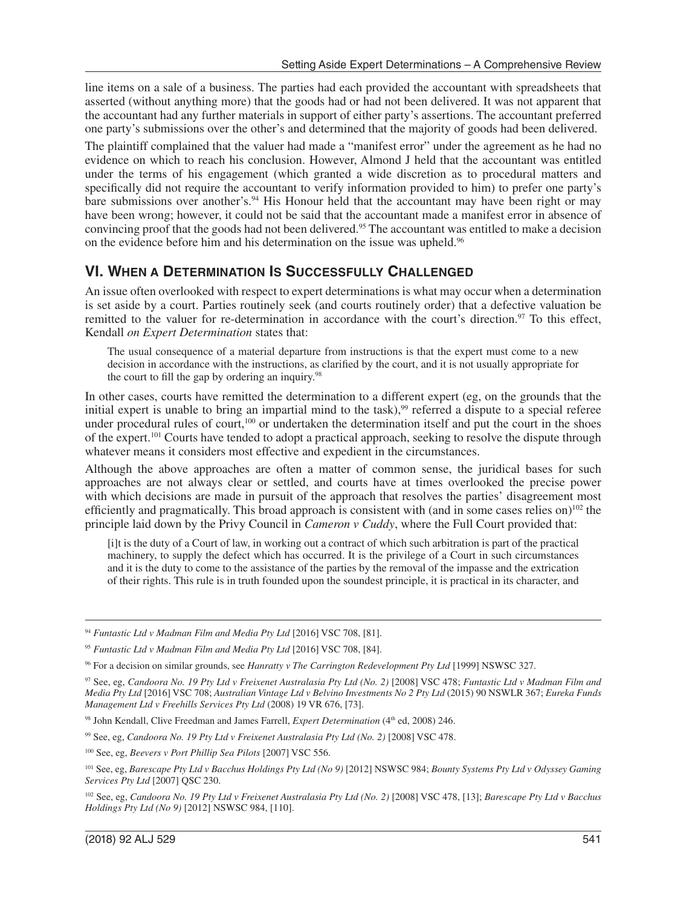line items on a sale of a business. The parties had each provided the accountant with spreadsheets that asserted (without anything more) that the goods had or had not been delivered. It was not apparent that the accountant had any further materials in support of either party's assertions. The accountant preferred one party's submissions over the other's and determined that the majority of goods had been delivered.

The plaintiff complained that the valuer had made a "manifest error" under the agreement as he had no evidence on which to reach his conclusion. However, Almond J held that the accountant was entitled under the terms of his engagement (which granted a wide discretion as to procedural matters and specifically did not require the accountant to verify information provided to him) to prefer one party's bare submissions over another's.<sup>94</sup> His Honour held that the accountant may have been right or may have been wrong; however, it could not be said that the accountant made a manifest error in absence of convincing proof that the goods had not been delivered.95 The accountant was entitled to make a decision on the evidence before him and his determination on the issue was upheld.<sup>96</sup>

#### **VI. WHEN A DETERMINATION IS SUCCESSFULLY CHALLENGED**

An issue often overlooked with respect to expert determinations is what may occur when a determination is set aside by a court. Parties routinely seek (and courts routinely order) that a defective valuation be remitted to the valuer for re-determination in accordance with the court's direction.<sup>97</sup> To this effect, Kendall *on Expert Determination* states that:

The usual consequence of a material departure from instructions is that the expert must come to a new decision in accordance with the instructions, as clarified by the court, and it is not usually appropriate for the court to fill the gap by ordering an inquiry.<sup>98</sup>

In other cases, courts have remitted the determination to a different expert (eg, on the grounds that the initial expert is unable to bring an impartial mind to the task),<sup>99</sup> referred a dispute to a special referee under procedural rules of court,<sup>100</sup> or undertaken the determination itself and put the court in the shoes of the expert.<sup>101</sup> Courts have tended to adopt a practical approach, seeking to resolve the dispute through whatever means it considers most effective and expedient in the circumstances.

Although the above approaches are often a matter of common sense, the juridical bases for such approaches are not always clear or settled, and courts have at times overlooked the precise power with which decisions are made in pursuit of the approach that resolves the parties' disagreement most efficiently and pragmatically. This broad approach is consistent with (and in some cases relies on)<sup>102</sup> the principle laid down by the Privy Council in *Cameron v Cuddy*, where the Full Court provided that:

[i]t is the duty of a Court of law, in working out a contract of which such arbitration is part of the practical machinery, to supply the defect which has occurred. It is the privilege of a Court in such circumstances and it is the duty to come to the assistance of the parties by the removal of the impasse and the extrication of their rights. This rule is in truth founded upon the soundest principle, it is practical in its character, and

<sup>94</sup> *Funtastic Ltd v Madman Film and Media Pty Ltd* [2016] VSC 708, [81].

<sup>95</sup> *Funtastic Ltd v Madman Film and Media Pty Ltd* [2016] VSC 708, [84].

<sup>96</sup> For a decision on similar grounds, see *Hanratty v The Carrington Redevelopment Pty Ltd* [1999] NSWSC 327.

<sup>97</sup> See, eg, *Candoora No. 19 Pty Ltd v Freixenet Australasia Pty Ltd (No. 2)* [2008] VSC 478; *Funtastic Ltd v Madman Film and Media Pty Ltd* [2016] VSC 708; *Australian Vintage Ltd v Belvino Investments No 2 Pty Ltd* (2015) 90 NSWLR 367; *Eureka Funds Management Ltd v Freehills Services Pty Ltd* (2008) 19 VR 676, [73].

<sup>&</sup>lt;sup>98</sup> John Kendall, Clive Freedman and James Farrell, *Expert Determination* (4<sup>th</sup> ed, 2008) 246.

<sup>99</sup> See, eg, *Candoora No. 19 Pty Ltd v Freixenet Australasia Pty Ltd (No. 2)* [2008] VSC 478.

<sup>100</sup> See, eg, *Beevers v Port Phillip Sea Pilots* [2007] VSC 556.

<sup>101</sup> See, eg, *Barescape Pty Ltd v Bacchus Holdings Pty Ltd (No 9)* [2012] NSWSC 984; *Bounty Systems Pty Ltd v Odyssey Gaming Services Pty Ltd* [2007] QSC 230.

<sup>102</sup> See, eg, *Candoora No. 19 Pty Ltd v Freixenet Australasia Pty Ltd (No. 2)* [2008] VSC 478, [13]; *Barescape Pty Ltd v Bacchus Holdings Pty Ltd (No 9)* [2012] NSWSC 984, [110].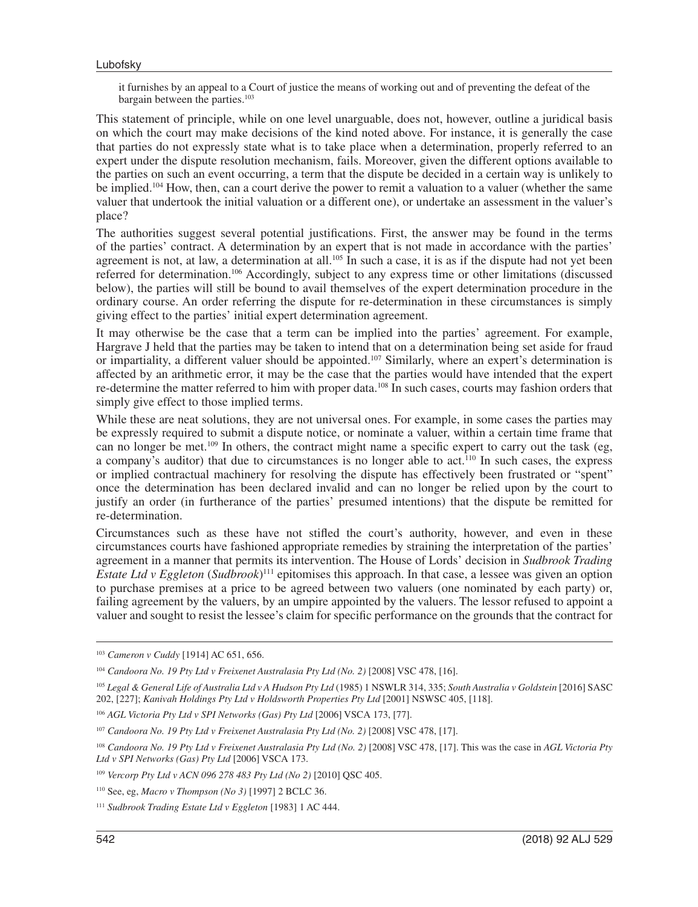it furnishes by an appeal to a Court of justice the means of working out and of preventing the defeat of the bargain between the parties.<sup>103</sup>

This statement of principle, while on one level unarguable, does not, however, outline a juridical basis on which the court may make decisions of the kind noted above. For instance, it is generally the case that parties do not expressly state what is to take place when a determination, properly referred to an expert under the dispute resolution mechanism, fails. Moreover, given the different options available to the parties on such an event occurring, a term that the dispute be decided in a certain way is unlikely to be implied.104 How, then, can a court derive the power to remit a valuation to a valuer (whether the same valuer that undertook the initial valuation or a different one), or undertake an assessment in the valuer's place?

The authorities suggest several potential justifications. First, the answer may be found in the terms of the parties' contract. A determination by an expert that is not made in accordance with the parties' agreement is not, at law, a determination at all.<sup>105</sup> In such a case, it is as if the dispute had not vet been referred for determination.106 Accordingly, subject to any express time or other limitations (discussed below), the parties will still be bound to avail themselves of the expert determination procedure in the ordinary course. An order referring the dispute for re-determination in these circumstances is simply giving effect to the parties' initial expert determination agreement.

It may otherwise be the case that a term can be implied into the parties' agreement. For example, Hargrave J held that the parties may be taken to intend that on a determination being set aside for fraud or impartiality, a different valuer should be appointed.107 Similarly, where an expert's determination is affected by an arithmetic error, it may be the case that the parties would have intended that the expert re-determine the matter referred to him with proper data.108 In such cases, courts may fashion orders that simply give effect to those implied terms.

While these are neat solutions, they are not universal ones. For example, in some cases the parties may be expressly required to submit a dispute notice, or nominate a valuer, within a certain time frame that can no longer be met.109 In others, the contract might name a specific expert to carry out the task (eg, a company's auditor) that due to circumstances is no longer able to act.<sup>110</sup> In such cases, the express or implied contractual machinery for resolving the dispute has effectively been frustrated or "spent" once the determination has been declared invalid and can no longer be relied upon by the court to justify an order (in furtherance of the parties' presumed intentions) that the dispute be remitted for re-determination.

Circumstances such as these have not stifled the court's authority, however, and even in these circumstances courts have fashioned appropriate remedies by straining the interpretation of the parties' agreement in a manner that permits its intervention. The House of Lords' decision in *Sudbrook Trading Estate Ltd v Eggleton* (*Sudbrook*) 111 epitomises this approach. In that case, a lessee was given an option to purchase premises at a price to be agreed between two valuers (one nominated by each party) or, failing agreement by the valuers, by an umpire appointed by the valuers. The lessor refused to appoint a valuer and sought to resist the lessee's claim for specific performance on the grounds that the contract for

<sup>103</sup> *Cameron v Cuddy* [1914] AC 651, 656.

<sup>104</sup> *Candoora No. 19 Pty Ltd v Freixenet Australasia Pty Ltd (No. 2)* [2008] VSC 478, [16].

<sup>105</sup> *Legal & General Life of Australia Ltd v A Hudson Pty Ltd* (1985) 1 NSWLR 314, 335; *South Australia v Goldstein* [2016] SASC 202, [227]; *Kanivah Holdings Pty Ltd v Holdsworth Properties Pty Ltd* [2001] NSWSC 405, [118].

<sup>106</sup> *AGL Victoria Pty Ltd v SPI Networks (Gas) Pty Ltd* [2006] VSCA 173, [77].

<sup>107</sup> *Candoora No. 19 Pty Ltd v Freixenet Australasia Pty Ltd (No. 2)* [2008] VSC 478, [17].

<sup>108</sup> *Candoora No. 19 Pty Ltd v Freixenet Australasia Pty Ltd (No. 2)* [2008] VSC 478, [17]. This was the case in *AGL Victoria Pty Ltd v SPI Networks (Gas) Pty Ltd* [2006] VSCA 173.

<sup>109</sup> *Vercorp Pty Ltd v ACN 096 278 483 Pty Ltd (No 2)* [2010] QSC 405.

<sup>110</sup> See, eg, *Macro v Thompson (No 3)* [1997] 2 BCLC 36.

<sup>111</sup> *Sudbrook Trading Estate Ltd v Eggleton* [1983] 1 AC 444.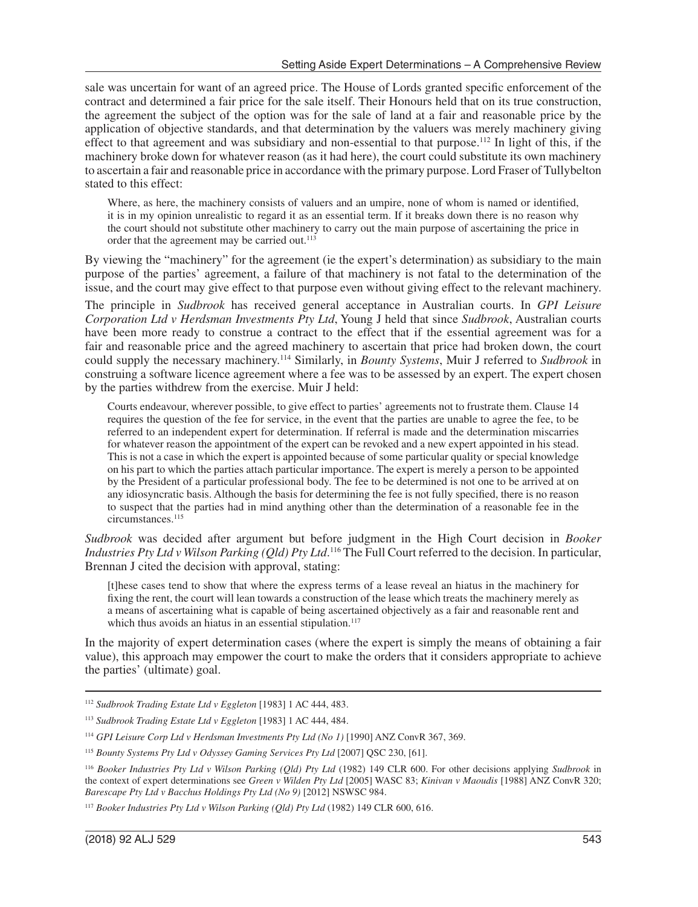sale was uncertain for want of an agreed price. The House of Lords granted specific enforcement of the contract and determined a fair price for the sale itself. Their Honours held that on its true construction, the agreement the subject of the option was for the sale of land at a fair and reasonable price by the application of objective standards, and that determination by the valuers was merely machinery giving effect to that agreement and was subsidiary and non-essential to that purpose.<sup>112</sup> In light of this, if the machinery broke down for whatever reason (as it had here), the court could substitute its own machinery to ascertain a fair and reasonable price in accordance with the primary purpose. Lord Fraser of Tullybelton stated to this effect:

Where, as here, the machinery consists of valuers and an umpire, none of whom is named or identified, it is in my opinion unrealistic to regard it as an essential term. If it breaks down there is no reason why the court should not substitute other machinery to carry out the main purpose of ascertaining the price in order that the agreement may be carried out.<sup>113</sup>

By viewing the "machinery" for the agreement (ie the expert's determination) as subsidiary to the main purpose of the parties' agreement, a failure of that machinery is not fatal to the determination of the issue, and the court may give effect to that purpose even without giving effect to the relevant machinery.

The principle in *Sudbrook* has received general acceptance in Australian courts. In *GPI Leisure Corporation Ltd v Herdsman Investments Pty Ltd*, Young J held that since *Sudbrook*, Australian courts have been more ready to construe a contract to the effect that if the essential agreement was for a fair and reasonable price and the agreed machinery to ascertain that price had broken down, the court could supply the necessary machinery.114 Similarly, in *Bounty Systems*, Muir J referred to *Sudbrook* in construing a software licence agreement where a fee was to be assessed by an expert. The expert chosen by the parties withdrew from the exercise. Muir J held:

Courts endeavour, wherever possible, to give effect to parties' agreements not to frustrate them. Clause 14 requires the question of the fee for service, in the event that the parties are unable to agree the fee, to be referred to an independent expert for determination. If referral is made and the determination miscarries for whatever reason the appointment of the expert can be revoked and a new expert appointed in his stead. This is not a case in which the expert is appointed because of some particular quality or special knowledge on his part to which the parties attach particular importance. The expert is merely a person to be appointed by the President of a particular professional body. The fee to be determined is not one to be arrived at on any idiosyncratic basis. Although the basis for determining the fee is not fully specified, there is no reason to suspect that the parties had in mind anything other than the determination of a reasonable fee in the circumstances.<sup>115</sup>

*Sudbrook* was decided after argument but before judgment in the High Court decision in *Booker Industries Pty Ltd v Wilson Parking (Qld) Pty Ltd*.<sup>116</sup> The Full Court referred to the decision. In particular, Brennan J cited the decision with approval, stating:

[t]hese cases tend to show that where the express terms of a lease reveal an hiatus in the machinery for fixing the rent, the court will lean towards a construction of the lease which treats the machinery merely as a means of ascertaining what is capable of being ascertained objectively as a fair and reasonable rent and which thus avoids an hiatus in an essential stipulation.<sup>117</sup>

In the majority of expert determination cases (where the expert is simply the means of obtaining a fair value), this approach may empower the court to make the orders that it considers appropriate to achieve the parties' (ultimate) goal.

<sup>112</sup> *Sudbrook Trading Estate Ltd v Eggleton* [1983] 1 AC 444, 483.

<sup>113</sup> *Sudbrook Trading Estate Ltd v Eggleton* [1983] 1 AC 444, 484.

<sup>114</sup> *GPI Leisure Corp Ltd v Herdsman Investments Pty Ltd (No 1)* [1990] ANZ ConvR 367, 369.

<sup>115</sup> *Bounty Systems Pty Ltd v Odyssey Gaming Services Pty Ltd* [2007] QSC 230, [61].

<sup>116</sup> *Booker Industries Pty Ltd v Wilson Parking (Qld) Pty Ltd* (1982) 149 CLR 600. For other decisions applying *Sudbrook* in the context of expert determinations see *Green v Wilden Pty Ltd* [2005] WASC 83; *Kinivan v Maoudis* [1988] ANZ ConvR 320; *Barescape Pty Ltd v Bacchus Holdings Pty Ltd (No 9)* [2012] NSWSC 984.

<sup>117</sup> *Booker Industries Pty Ltd v Wilson Parking (Qld) Pty Ltd* (1982) 149 CLR 600, 616.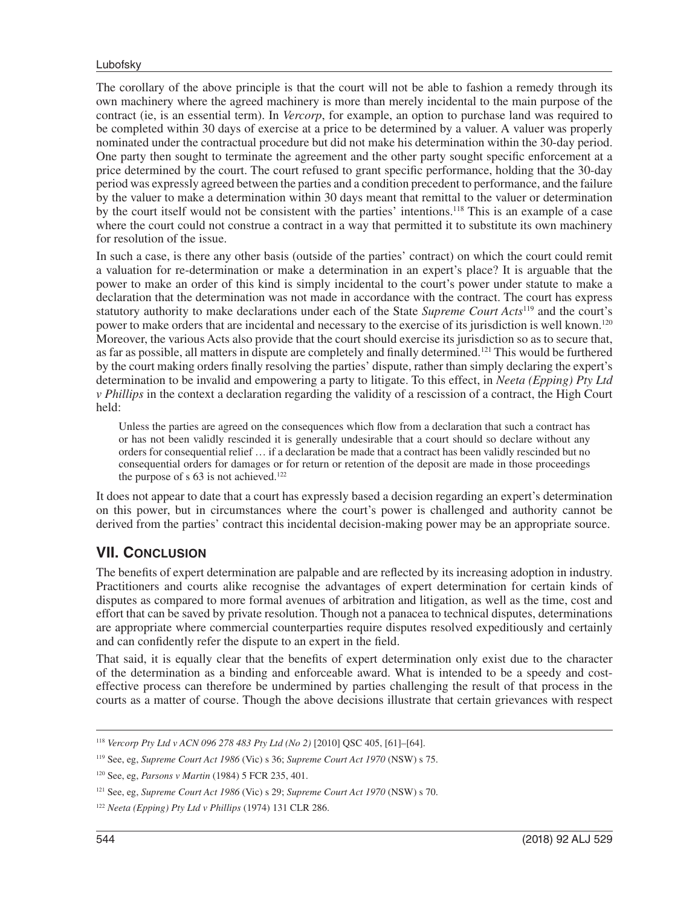The corollary of the above principle is that the court will not be able to fashion a remedy through its own machinery where the agreed machinery is more than merely incidental to the main purpose of the contract (ie, is an essential term). In *Vercorp*, for example, an option to purchase land was required to be completed within 30 days of exercise at a price to be determined by a valuer. A valuer was properly nominated under the contractual procedure but did not make his determination within the 30-day period. One party then sought to terminate the agreement and the other party sought specific enforcement at a price determined by the court. The court refused to grant specific performance, holding that the 30-day period was expressly agreed between the parties and a condition precedent to performance, and the failure by the valuer to make a determination within 30 days meant that remittal to the valuer or determination by the court itself would not be consistent with the parties' intentions.<sup>118</sup> This is an example of a case where the court could not construe a contract in a way that permitted it to substitute its own machinery for resolution of the issue.

In such a case, is there any other basis (outside of the parties' contract) on which the court could remit a valuation for re-determination or make a determination in an expert's place? It is arguable that the power to make an order of this kind is simply incidental to the court's power under statute to make a declaration that the determination was not made in accordance with the contract. The court has express statutory authority to make declarations under each of the State *Supreme Court Acts*119 and the court's power to make orders that are incidental and necessary to the exercise of its jurisdiction is well known.120 Moreover, the various Acts also provide that the court should exercise its jurisdiction so as to secure that, as far as possible, all matters in dispute are completely and finally determined.<sup>121</sup> This would be furthered by the court making orders finally resolving the parties' dispute, rather than simply declaring the expert's determination to be invalid and empowering a party to litigate. To this effect, in *Neeta (Epping) Pty Ltd v Phillips* in the context a declaration regarding the validity of a rescission of a contract, the High Court held:

Unless the parties are agreed on the consequences which flow from a declaration that such a contract has or has not been validly rescinded it is generally undesirable that a court should so declare without any orders for consequential relief … if a declaration be made that a contract has been validly rescinded but no consequential orders for damages or for return or retention of the deposit are made in those proceedings the purpose of s 63 is not achieved.<sup>122</sup>

It does not appear to date that a court has expressly based a decision regarding an expert's determination on this power, but in circumstances where the court's power is challenged and authority cannot be derived from the parties' contract this incidental decision-making power may be an appropriate source.

## **VII. CONCLUSION**

The benefits of expert determination are palpable and are reflected by its increasing adoption in industry. Practitioners and courts alike recognise the advantages of expert determination for certain kinds of disputes as compared to more formal avenues of arbitration and litigation, as well as the time, cost and effort that can be saved by private resolution. Though not a panacea to technical disputes, determinations are appropriate where commercial counterparties require disputes resolved expeditiously and certainly and can confidently refer the dispute to an expert in the field.

That said, it is equally clear that the benefits of expert determination only exist due to the character of the determination as a binding and enforceable award. What is intended to be a speedy and costeffective process can therefore be undermined by parties challenging the result of that process in the courts as a matter of course. Though the above decisions illustrate that certain grievances with respect

<sup>118</sup> *Vercorp Pty Ltd v ACN 096 278 483 Pty Ltd (No 2)* [2010] QSC 405, [61]–[64].

<sup>119</sup> See, eg, *Supreme Court Act 1986* (Vic) s 36; *Supreme Court Act 1970* (NSW) s 75.

<sup>120</sup> See, eg, *Parsons v Martin* (1984) 5 FCR 235, 401.

<sup>121</sup> See, eg, *Supreme Court Act 1986* (Vic) s 29; *Supreme Court Act 1970* (NSW) s 70.

<sup>122</sup> *Neeta (Epping) Pty Ltd v Phillips* (1974) 131 CLR 286.